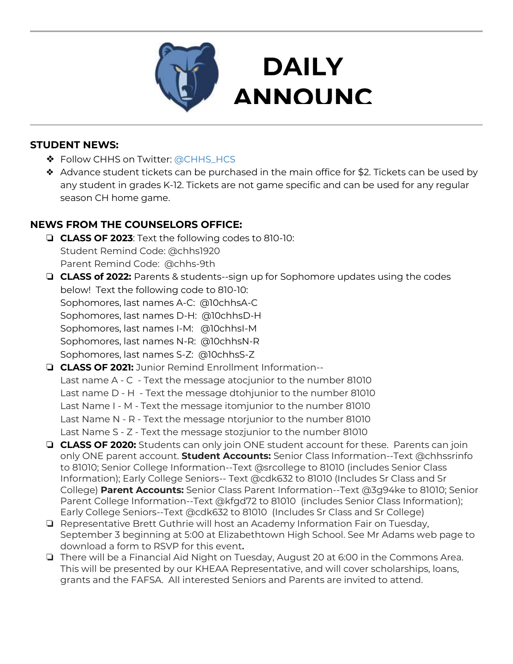

## **STUDENT NEWS:**

- ❖ Follow CHHS on Twitter: [@CHHS\\_HCS](https://twitter.com/CHHS_HCS)
- ❖ Advance student tickets can be purchased in the main office for \$2. Tickets can be used by any student in grades K-12. Tickets are not game specific and can be used for any regular season CH home game.

**DAILY** 

**EMENTS AND STRUCK SERVICES** 

# **NEWS FROM THE COUNSELORS OFFICE:**

- ❏ **CLASS OF 2023**: Text the following codes to 810-10: Student Remind Code: @chhs1920 Parent Remind Code: @chhs-9th
- ❏ **CLASS of 2022:** Parents & students--sign up for Sophomore updates using the codes below! Text the following code to 810-10: Sophomores, last names A-C: @10chhsA-C Sophomores, last names D-H: @10chhsD-H Sophomores, last names I-M: @10chhsI-M Sophomores, last names N-R: @10chhsN-R Sophomores, last names S-Z: @10chhsS-Z
- ❏ **CLASS OF 2021:** Junior Remind Enrollment Information-- Last name A - C - Text the message atocjunior to the number 81010 Last name D - H - Text the message dtohjunior to the number 81010 Last Name I - M - Text the message itomjunior to the number 81010 Last Name N - R - Text the message ntorjunior to the number 81010 Last Name S - Z - Text the message stozjunior to the number 81010
- ❏ **CLASS OF 2020:** Students can only join ONE student account for these. Parents can join only ONE parent account. **Student Accounts:** Senior Class Information--Text @chhssrinfo to 81010; Senior College Information--Text @srcollege to 81010 (includes Senior Class Information); Early College Seniors-- Text @cdk632 to 81010 (Includes Sr Class and Sr College) **Parent Accounts:** Senior Class Parent Information--Text @3g94ke to 81010; Senior Parent College Information--Text @kfgd72 to 81010 (includes Senior Class Information); Early College Seniors--Text @cdk632 to 81010 (Includes Sr Class and Sr College)
- ❏ Representative Brett Guthrie will host an Academy Information Fair on Tuesday, September 3 beginning at 5:00 at Elizabethtown High School. See Mr Adams web page to download a form to RSVP for this event**.**
- ❏ There will be a Financial Aid Night on Tuesday, August 20 at 6:00 in the Commons Area. This will be presented by our KHEAA Representative, and will cover scholarships, loans, grants and the FAFSA. All interested Seniors and Parents are invited to attend.